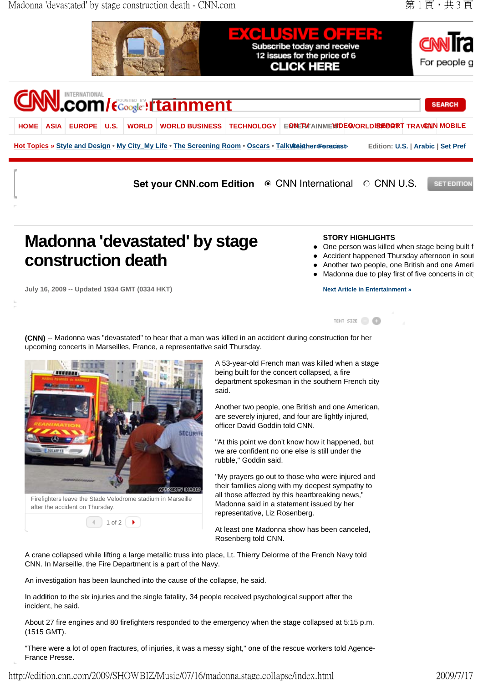Madonna 'devastated' by stage construction death - CNN.com  $\# 1 \nexists$ , 共 3 頁



## **Madonna 'devastated' by stage construction death**

July 16, 2009 -- Updated 1934 GMT (0334 HKT) Next Article in Entertainment »

## **STORY HIGHLIGHTS**

- One person was killed when stage being built f
- Accident happened Thursday afternoon in sout
- Another two people, one British and one Ameri
- Madonna due to play first of five concerts in cit

**(CNN)** -- Madonna was "devastated" to hear that a man was killed in an accident during construction for her upcoming concerts in Marseilles, France, a representative said Thursday.

> A 53-year-old French man was killed when a stage being built for the concert collapsed, a fire department spokesman in the southern French city said.

> Another two people, one British and one American, are severely injured, and four are lightly injured, officer David Goddin told CNN.

"At this point we don't know how it happened, but we are confident no one else is still under the rubble," Goddin said.

"My prayers go out to those who were injured and their families along with my deepest sympathy to all those affected by this heartbreaking news," Madonna said in a statement issued by her representative, Liz Rosenberg.

At least one Madonna show has been canceled, Rosenberg told CNN.

A crane collapsed while lifting a large metallic truss into place, Lt. Thierry Delorme of the French Navy told CNN. In Marseille, the Fire Department is a part of the Navy.

An investigation has been launched into the cause of the collapse, he said.

In addition to the six injuries and the single fatality, 34 people received psychological support after the incident, he said.

About 27 fire engines and 80 firefighters responded to the emergency when the stage collapsed at 5:15 p.m. (1515 GMT).

"There were a lot of open fractures, of injuries, it was a messy sight," one of the rescue workers told Agence-France Presse.

http://edition.cnn.com/2009/SHOWBIZ/Music/07/16/madonna.stage.collapse/index.html 2009/7/17



Firefighters leave the Stade Velodrome stadium in Marseille after the accident on Thursday.



TEXT SIZE - +